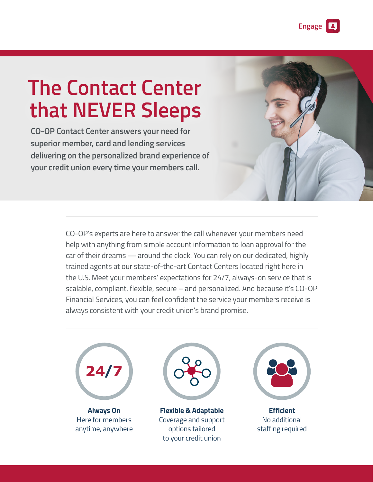# **The Contact Center that NEVER Sleeps**

**CO-OP Contact Center answers your need for superior member, card and lending services delivering on the personalized brand experience of your credit union every time your members call.**

> CO-OP's experts are here to answer the call whenever your members need help with anything from simple account information to loan approval for the car of their dreams — around the clock. You can rely on our dedicated, highly trained agents at our state-of-the-art Contact Centers located right here in the U.S. Meet your members' expectations for 24/7, always-on service that is scalable, compliant, flexible, secure – and personalized. And because it's CO-OP Financial Services, you can feel confident the service your members receive is always consistent with your credit union's brand promise.



**Always On** Here for members anytime, anywhere



**Flexible & Adaptable**  Coverage and support options tailored to your credit union



**Efficient** No additional staffing required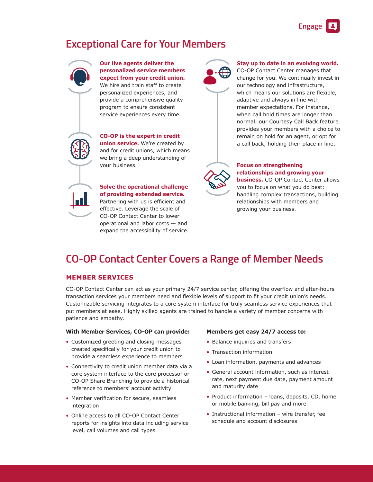# **Exceptional Care for Your Members**



**Our live agents deliver the personalized service members expect from your credit union.** We hire and train staff to create personalized experiences, and provide a comprehensive quality program to ensure consistent service experiences every time.

**CO-OP is the expert in credit union service.** We're created by and for credit unions, which means we bring a deep understanding of your business.

**Solve the operational challenge of providing extended service.** Partnering with us is efficient and effective. Leverage the scale of CO-OP Contact Center to lower operational and labor costs — and expand the accessibility of service.



#### **Stay up to date in an evolving world.**

CO-OP Contact Center manages that change for you. We continually invest in our technology and infrastructure, which means our solutions are flexible, adaptive and always in line with member expectations. For instance, when call hold times are longer than normal, our Courtesy Call Back feature provides your members with a choice to remain on hold for an agent, or opt for a call back, holding their place in line.



## **Focus on strengthening relationships and growing your**

**business.** CO-OP Contact Center allows you to focus on what you do best: handling complex transactions, building relationships with members and growing your business.

# **CO-OP Contact Center Covers a Range of Member Needs**

### **MEMBER SERVICES**

CO-OP Contact Center can act as your primary 24/7 service center, offering the overflow and after-hours transaction services your members need and flexible levels of support to fit your credit union's needs. Customizable servicing integrates to a core system interface for truly seamless service experiences that put members at ease. Highly skilled agents are trained to handle a variety of member concerns with patience and empathy.

#### **With Member Services, CO-OP can provide:**

- Customized greeting and closing messages created specifically for your credit union to provide a seamless experience to members
- Connectivity to credit union member data via a core system interface to the core processor or CO-OP Share Branching to provide a historical reference to members' account activity
- Member verification for secure, seamless integration
- Online access to all CO-OP Contact Center reports for insights into data including service level, call volumes and call types

#### **Members get easy 24/7 access to:**

- Balance inquiries and transfers
- Transaction information
- Loan information, payments and advances
- General account information, such as interest rate, next payment due date, payment amount and maturity date
- Product information loans, deposits, CD, home or mobile banking, bill pay and more.
- Instructional information wire transfer, fee schedule and account disclosures